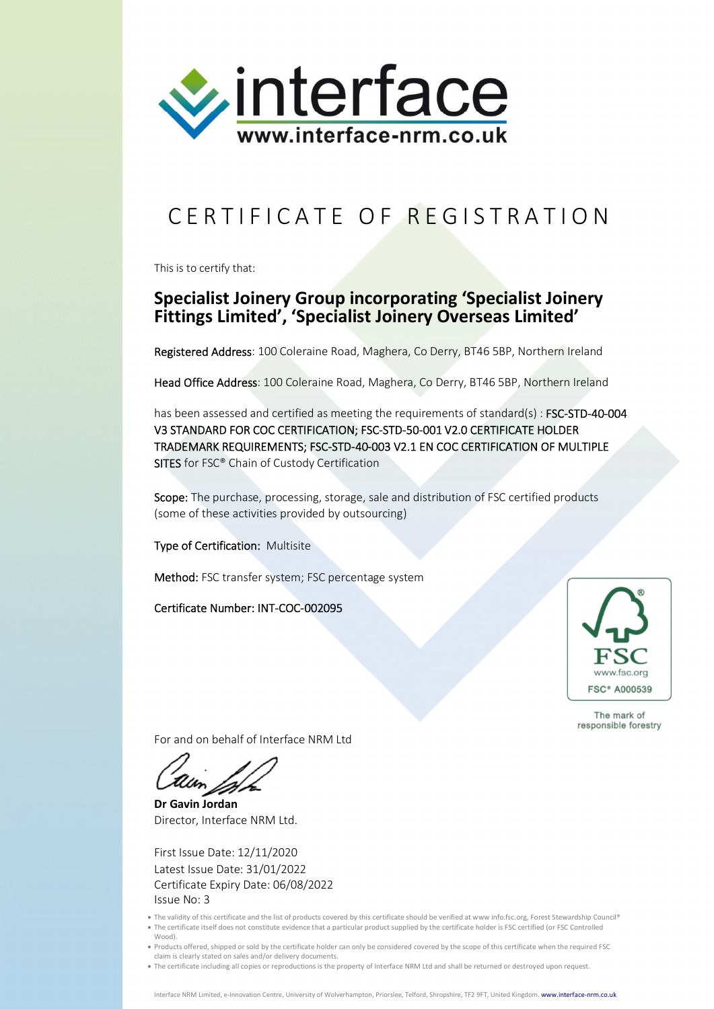

## CERTIFICATE OF REGISTRATION

This is to certify that:

## **Specialist Joinery Group incorporating 'Specialist Joinery Fittings Limited', 'Specialist Joinery Overseas Limited'**

Registered Address: 100 Coleraine Road, Maghera, Co Derry, BT46 5BP, Northern Ireland

Head Office Address: 100 Coleraine Road, Maghera, Co Derry, BT46 5BP, Northern Ireland

has been assessed and certified as meeting the requirements of standard(s) : FSC-STD-40-004 V3 STANDARD FOR COC CERTIFICATION; FSC-STD-50-001 V2.0 CERTIFICATE HOLDER TRADEMARK REQUIREMENTS; FSC-STD-40-003 V2.1 EN COC CERTIFICATION OF MULTIPLE SITES for FSC® Chain of Custody Certification

Scope: The purchase, processing, storage, sale and distribution of FSC certified products (some of these activities provided by outsourcing)

Type of Certification: Multisite

Method: FSC transfer system; FSC percentage system

Certificate Number: INT-COC-002095



The mark of responsible forestry

For and on behalf of Interface NRM Ltd

**Dr Gavin Jordan** Director, Interface NRM Ltd.

First Issue Date: 12/11/2020 Latest Issue Date: 31/01/2022 Certificate Expiry Date: 06/08/2022 Issue No: 3

- . The validity of this certificate and the list of products covered by this certificate should be verified at www info.fsc.org, Forest Stewardship Council® The certificate itself does not constitute evidence that a particular product supplied by the certificate holder is FSC certified (or FSC Controlled Wood).
- Products offered, shipped or sold by the certificate holder can only be considered covered by the scope of this certificate when the required FSC claim is clearly stated on sales and/or delivery documents.
- The certificate including all copies or reproductions is the property of Interface NRM Ltd and shall be returned or destroyed upon request.